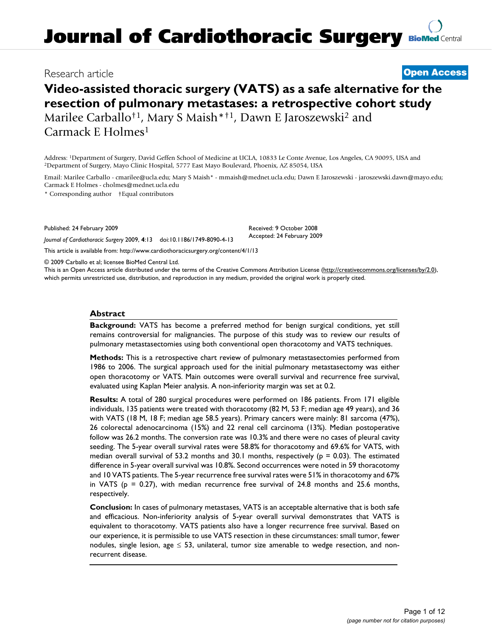# **Journal of Cardiothoracic Surgery [BioMed](http://www.biomedcentral.com/) Central**

# Research article **[Open Access](http://www.biomedcentral.com/info/about/charter/)**

# **Video-assisted thoracic surgery (VATS) as a safe alternative for the resection of pulmonary metastases: a retrospective cohort study** Marilee Carballo<sup>†1</sup>, Mary S Maish<sup>\*†1</sup>, Dawn E Jaroszewski<sup>2</sup> and Carmack E Holmes<sup>1</sup>

Address: <sup>1</sup>Department of Surgery, David Geffen School of Medicine at UCLA, 10833 Le Conte Avenue, Los Angeles, CA 90095, USA and <sup>2</sup>Department of Surgery, Mayo Clinic Hospital, 5777 East Mayo Boulevard, Phoenix, AZ 85054,

Email: Marilee Carballo - cmarilee@ucla.edu; Mary S Maish\* - mmaish@mednet.ucla.edu; Dawn E Jaroszewski - jaroszewski.dawn@mayo.edu; Carmack E Holmes - cholmes@mednet.ucla.edu

> Received: 9 October 2008 Accepted: 24 February 2009

\* Corresponding author †Equal contributors

Published: 24 February 2009

*Journal of Cardiothoracic Surgery* 2009, **4**:13 doi:10.1186/1749-8090-4-13

[This article is available from: http://www.cardiothoracicsurgery.org/content/4/1/13](http://www.cardiothoracicsurgery.org/content/4/1/13)

© 2009 Carballo et al; licensee BioMed Central Ltd.

This is an Open Access article distributed under the terms of the Creative Commons Attribution License [\(http://creativecommons.org/licenses/by/2.0\)](http://creativecommons.org/licenses/by/2.0), which permits unrestricted use, distribution, and reproduction in any medium, provided the original work is properly cited.

#### **Abstract**

**Background:** VATS has become a preferred method for benign surgical conditions, yet still remains controversial for malignancies. The purpose of this study was to review our results of pulmonary metastasectomies using both conventional open thoracotomy and VATS techniques.

**Methods:** This is a retrospective chart review of pulmonary metastasectomies performed from 1986 to 2006. The surgical approach used for the initial pulmonary metastasectomy was either open thoracotomy or VATS. Main outcomes were overall survival and recurrence free survival, evaluated using Kaplan Meier analysis. A non-inferiority margin was set at 0.2.

**Results:** A total of 280 surgical procedures were performed on 186 patients. From 171 eligible individuals, 135 patients were treated with thoracotomy (82 M, 53 F; median age 49 years), and 36 with VATS (18 M, 18 F; median age 58.5 years). Primary cancers were mainly: 81 sarcoma (47%), 26 colorectal adenocarcinoma (15%) and 22 renal cell carcinoma (13%). Median postoperative follow was 26.2 months. The conversion rate was 10.3% and there were no cases of pleural cavity seeding. The 5-year overall survival rates were 58.8% for thoracotomy and 69.6% for VATS, with median overall survival of 53.2 months and 30.1 months, respectively ( $p = 0.03$ ). The estimated difference in 5-year overall survival was 10.8%. Second occurrences were noted in 59 thoracotomy and 10 VATS patients. The 5-year recurrence free survival rates were 51% in thoracotomy and 67% in VATS ( $p = 0.27$ ), with median recurrence free survival of 24.8 months and 25.6 months, respectively.

**Conclusion:** In cases of pulmonary metastases, VATS is an acceptable alternative that is both safe and efficacious. Non-inferiority analysis of 5-year overall survival demonstrates that VATS is equivalent to thoracotomy. VATS patients also have a longer recurrence free survival. Based on our experience, it is permissible to use VATS resection in these circumstances: small tumor, fewer nodules, single lesion, age  $\leq$  53, unilateral, tumor size amenable to wedge resection, and nonrecurrent disease.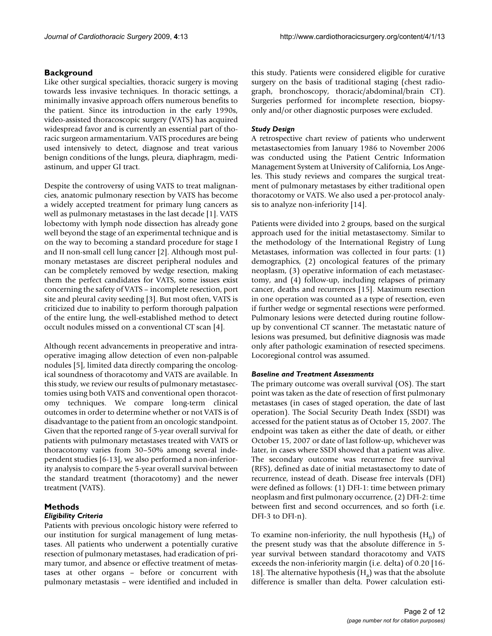#### **Background**

Like other surgical specialties, thoracic surgery is moving towards less invasive techniques. In thoracic settings, a minimally invasive approach offers numerous benefits to the patient. Since its introduction in the early 1990s, video-assisted thoracoscopic surgery (VATS) has acquired widespread favor and is currently an essential part of thoracic surgeon armamentarium. VATS procedures are being used intensively to detect, diagnose and treat various benign conditions of the lungs, pleura, diaphragm, mediastinum, and upper GI tract.

Despite the controversy of using VATS to treat malignancies, anatomic pulmonary resection by VATS has become a widely accepted treatment for primary lung cancers as well as pulmonary metastases in the last decade [1]. VATS lobectomy with lymph node dissection has already gone well beyond the stage of an experimental technique and is on the way to becoming a standard procedure for stage I and II non-small cell lung cancer [2]. Although most pulmonary metastases are discreet peripheral nodules and can be completely removed by wedge resection, making them the perfect candidates for VATS, some issues exist concerning the safety of VATS – incomplete resection, port site and pleural cavity seeding [3]. But most often, VATS is criticized due to inability to perform thorough palpation of the entire lung, the well-established method to detect occult nodules missed on a conventional CT scan [4].

Although recent advancements in preoperative and intraoperative imaging allow detection of even non-palpable nodules [5], limited data directly comparing the oncological soundness of thoracotomy and VATS are available. In this study, we review our results of pulmonary metastasectomies using both VATS and conventional open thoracotomy techniques. We compare long-term clinical outcomes in order to determine whether or not VATS is of disadvantage to the patient from an oncologic standpoint. Given that the reported range of 5-year overall survival for patients with pulmonary metastases treated with VATS or thoracotomy varies from 30–50% among several independent studies [6-13], we also performed a non-inferiority analysis to compare the 5-year overall survival between the standard treatment (thoracotomy) and the newer treatment (VATS).

#### **Methods**

#### *Eligibility Criteria*

Patients with previous oncologic history were referred to our institution for surgical management of lung metastases. All patients who underwent a potentially curative resection of pulmonary metastases, had eradication of primary tumor, and absence or effective treatment of metastases at other organs – before or concurrent with pulmonary metastasis – were identified and included in

this study. Patients were considered eligible for curative surgery on the basis of traditional staging (chest radiograph, bronchoscopy, thoracic/abdominal/brain CT). Surgeries performed for incomplete resection, biopsyonly and/or other diagnostic purposes were excluded.

#### *Study Design*

A retrospective chart review of patients who underwent metastasectomies from January 1986 to November 2006 was conducted using the Patient Centric Information Management System at University of California, Los Angeles. This study reviews and compares the surgical treatment of pulmonary metastases by either traditional open thoracotomy or VATS. We also used a per-protocol analysis to analyze non-inferiority [14].

Patients were divided into 2 groups, based on the surgical approach used for the initial metastasectomy. Similar to the methodology of the International Registry of Lung Metastases, information was collected in four parts: (1) demographics, (2) oncological features of the primary neoplasm, (3) operative information of each metastasectomy, and (4) follow-up, including relapses of primary cancer, deaths and recurrences [15]. Maximum resection in one operation was counted as a type of resection, even if further wedge or segmental resections were performed. Pulmonary lesions were detected during routine followup by conventional CT scanner. The metastatic nature of lesions was presumed, but definitive diagnosis was made only after pathologic examination of resected specimens. Locoregional control was assumed.

#### *Baseline and Treatment Assessments*

The primary outcome was overall survival (OS). The start point was taken as the date of resection of first pulmonary metastases (in cases of staged operation, the date of last operation). The Social Security Death Index (SSDI) was accessed for the patient status as of October 15, 2007. The endpoint was taken as either the date of death, or either October 15, 2007 or date of last follow-up, whichever was later, in cases where SSDI showed that a patient was alive. The secondary outcome was recurrence free survival (RFS), defined as date of initial metastasectomy to date of recurrence, instead of death. Disease free intervals (DFI) were defined as follows: (1) DFI-1: time between primary neoplasm and first pulmonary occurrence, (2) DFI-2: time between first and second occurrences, and so forth (i.e. DFI-3 to DFI-n).

To examine non-inferiority, the null hypothesis  $(H_0)$  of the present study was that the absolute difference in 5 year survival between standard thoracotomy and VATS exceeds the non-inferiority margin (i.e. delta) of 0.20 [16- 18]. The alternative hypothesis  $(H_a)$  was that the absolute difference is smaller than delta. Power calculation esti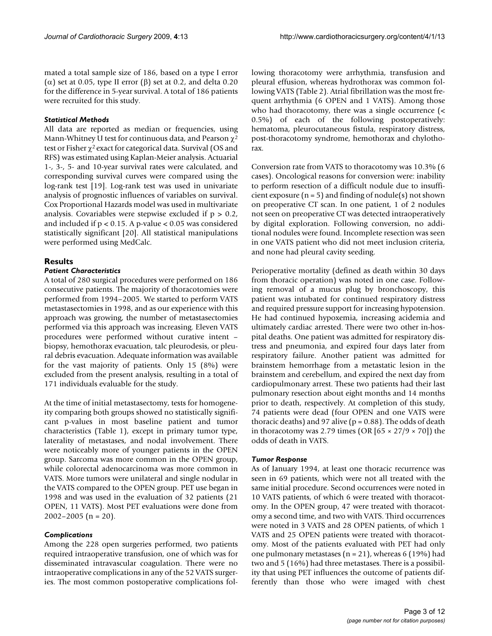mated a total sample size of 186, based on a type I error (α) set at 0.05, type II error (β) set at 0.2, and delta 0.20 for the difference in 5-year survival. A total of 186 patients were recruited for this study.

### *Statistical Methods*

All data are reported as median or frequencies, using Mann-Whitney U test for continuous data, and Pearson  $\chi^2$ test or Fisher  $\chi^2$  exact for categorical data. Survival (OS and RFS) was estimated using Kaplan-Meier analysis. Actuarial 1-, 3-, 5- and 10-year survival rates were calculated, and corresponding survival curves were compared using the log-rank test [19]. Log-rank test was used in univariate analysis of prognostic influences of variables on survival. Cox Proportional Hazards model was used in multivariate analysis. Covariables were stepwise excluded if  $p > 0.2$ , and included if p < 0.15. A p-value < 0.05 was considered statistically significant [20]. All statistical manipulations were performed using MedCalc.

# **Results**

# *Patient Characteristics*

A total of 280 surgical procedures were performed on 186 consecutive patients. The majority of thoracotomies were performed from 1994–2005. We started to perform VATS metastasectomies in 1998, and as our experience with this approach was growing, the number of metastasectomies performed via this approach was increasing. Eleven VATS procedures were performed without curative intent – biopsy, hemothorax evacuation, talc pleurodesis, or pleural debris evacuation. Adequate information was available for the vast majority of patients. Only 15 (8%) were excluded from the present analysis, resulting in a total of 171 individuals evaluable for the study.

At the time of initial metastasectomy, tests for homogeneity comparing both groups showed no statistically significant p-values in most baseline patient and tumor characteristics (Table 1), except in primary tumor type, laterality of metastases, and nodal involvement. There were noticeably more of younger patients in the OPEN group. Sarcoma was more common in the OPEN group, while colorectal adenocarcinoma was more common in VATS. More tumors were unilateral and single nodular in the VATS compared to the OPEN group. PET use began in 1998 and was used in the evaluation of 32 patients (21 OPEN, 11 VATS). Most PET evaluations were done from 2002–2005 ( $n = 20$ ).

# *Complications*

Among the 228 open surgeries performed, two patients required intraoperative transfusion, one of which was for disseminated intravascular coagulation. There were no intraoperative complications in any of the 52 VATS surgeries. The most common postoperative complications following thoracotomy were arrhythmia, transfusion and pleural effusion, whereas hydrothorax was common following VATS (Table 2). Atrial fibrillation was the most frequent arrhythmia (6 OPEN and 1 VATS). Among those who had thoracotomy, there was a single occurrence (< 0.5%) of each of the following postoperatively: hematoma, pleurocutaneous fistula, respiratory distress, post-thoracotomy syndrome, hemothorax and chylothorax.

Conversion rate from VATS to thoracotomy was 10.3% (6 cases). Oncological reasons for conversion were: inability to perform resection of a difficult nodule due to insufficient exposure  $(n = 5)$  and finding of nodule(s) not shown on preoperative CT scan. In one patient, 1 of 2 nodules not seen on preoperative CT was detected intraoperatively by digital exploration. Following conversion, no additional nodules were found. Incomplete resection was seen in one VATS patient who did not meet inclusion criteria, and none had pleural cavity seeding.

Perioperative mortality (defined as death within 30 days from thoracic operation) was noted in one case. Following removal of a mucus plug by bronchoscopy, this patient was intubated for continued respiratory distress and required pressure support for increasing hypotension. He had continued hypoxemia, increasing acidemia and ultimately cardiac arrested. There were two other in-hospital deaths. One patient was admitted for respiratory distress and pneumonia, and expired four days later from respiratory failure. Another patient was admitted for brainstem hemorrhage from a metastatic lesion in the brainstem and cerebellum, and expired the next day from cardiopulmonary arrest. These two patients had their last pulmonary resection about eight months and 14 months prior to death, respectively. At completion of this study, 74 patients were dead (four OPEN and one VATS were thoracic deaths) and 97 alive ( $p = 0.88$ ). The odds of death in thoracotomy was 2.79 times (OR  $[65 \times 27/9 \times 70]$ ) the odds of death in VATS.

# *Tumor Response*

As of January 1994, at least one thoracic recurrence was seen in 69 patients, which were not all treated with the same initial procedure. Second occurrences were noted in 10 VATS patients, of which 6 were treated with thoracotomy. In the OPEN group, 47 were treated with thoracotomy a second time, and two with VATS. Third occurrences were noted in 3 VATS and 28 OPEN patients, of which 1 VATS and 25 OPEN patients were treated with thoracotomy. Most of the patients evaluated with PET had only one pulmonary metastases ( $n = 21$ ), whereas 6 (19%) had two and 5 (16%) had three metastases. There is a possibility that using PET influences the outcome of patients differently than those who were imaged with chest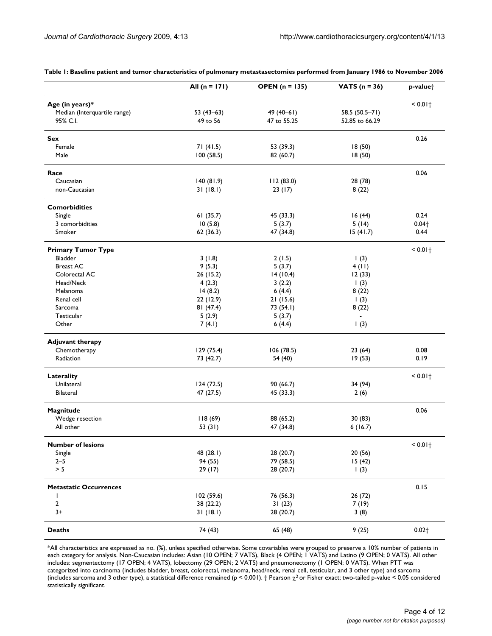|                               | All $(n = 171)$ | <b>OPEN</b> $(n = 135)$ | VATS $(n = 36)$  | p-value <sup>+</sup> |
|-------------------------------|-----------------|-------------------------|------------------|----------------------|
| Age (in years)*               |                 |                         |                  | $< 0.01 +$           |
| Median (Interquartile range)  | 53 $(43-63)$    | $49(40-61)$             | 58.5 (50.5-71)   |                      |
| 95% C.I.                      | 49 to 56        | 47 to 55.25             | 52.85 to 66.29   |                      |
| Sex                           |                 |                         |                  | 0.26                 |
| Female                        | 71(41.5)        | 53 (39.3)               | 18(50)           |                      |
| Male                          | 100(58.5)       | 82 (60.7)               | 18(50)           |                      |
| Race                          |                 |                         |                  | 0.06                 |
| Caucasian                     | 140(81.9)       | 112(83.0)               | 28 (78)          |                      |
| non-Caucasian                 | 31(18.1)        | 23(17)                  | 8(22)            |                      |
| <b>Comorbidities</b>          |                 |                         |                  |                      |
| Single                        | 61(35.7)        | 45 (33.3)               | 16(44)           | 0.24                 |
| 3 comorbidities               | 10(5.8)         | 5(3.7)                  | 5(14)            | 0.04 <sub>†</sub>    |
| Smoker                        | 62(36.3)        | 47 (34.8)               | 15(41.7)         | 0.44                 |
| <b>Primary Tumor Type</b>     |                 |                         |                  | $< 0.01 +$           |
| <b>Bladder</b>                | 3(1.8)          | 2(1.5)                  | $\vert$ (3)      |                      |
| <b>Breast AC</b>              | 9(5.3)          | 5(3.7)                  | 4(11)            |                      |
| Colorectal AC                 | 26 (15.2)       | 14(10.4)                | 12(33)           |                      |
| Head/Neck                     | 4(2.3)          | 3(2.2)                  | $\vert$ (3)      |                      |
| Melanoma                      | 14(8.2)         | 6(4.4)                  | 8(22)            |                      |
| Renal cell                    | 22 (12.9)       | 21(15.6)                | $\vert$ (3)      |                      |
| Sarcoma                       | 81 (47.4)       | 73 (54.1)               | 8(22)            |                      |
| Testicular                    | 5(2.9)          | 5(3.7)                  |                  |                      |
| Other                         | 7(4.1)          | 6(4.4)                  | $\vert$ (3)      |                      |
| <b>Adjuvant therapy</b>       |                 |                         |                  |                      |
| Chemotherapy                  | 129 (75.4)      | 106 (78.5)              | 23(64)           | 0.08                 |
| Radiation                     | 73 (42.7)       | 54 (40)                 | 19(53)           | 0.19                 |
| Laterality                    |                 |                         |                  | $< 0.01 +$           |
| Unilateral                    | 124(72.5)       | 90 (66.7)               | 34 (94)          |                      |
| <b>Bilateral</b>              | 47 (27.5)       | 45 (33.3)               | 2(6)             |                      |
| Magnitude                     |                 |                         |                  | 0.06                 |
| Wedge resection               | 118(69)         | 88 (65.2)               | 30(83)           |                      |
| All other                     | 53 (31)         | 47 (34.8)               | 6(16.7)          |                      |
| <b>Number of lesions</b>      |                 |                         |                  | $< 0.01 +$           |
| Single                        | 48 (28.1)       | 28 (20.7)               | 20 (56)          |                      |
| $2 - 5$                       | 94 (55)         | 79 (58.5)               | 15(42)           |                      |
| > 5                           | 29(17)          | 28 (20.7)               | $\left(3\right)$ |                      |
| <b>Metastatic Occurrences</b> |                 |                         |                  | 0.15                 |
| L                             | 102 (59.6)      | 76 (56.3)               | 26(72)           |                      |
| $\mathbf{2}$                  | 38 (22.2)       | 31(23)                  | 7(19)            |                      |
| $3+$                          | 31(18.1)        | 28 (20.7)               | 3(8)             |                      |
| <b>Deaths</b>                 | 74 (43)         | 65 (48)                 | 9(25)            | $0.02 +$             |

**Table 1: Baseline patient and tumor characteristics of pulmonary metastasectomies performed from January 1986 to November 2006**

\*All characteristics are expressed as no. (%), unless specified otherwise. Some covariables were grouped to preserve a 10% number of patients in each category for analysis. Non-Caucasian includes: Asian (10 OPEN; 7 VATS), Black (4 OPEN; 1 VATS) and Latino (9 OPEN; 0 VATS). All other includes: segmentectomy (17 OPEN; 4 VATS), lobectomy (29 OPEN; 2 VATS) and pneumonectomy (1 OPEN; 0 VATS). When PTT was categorized into carcinoma (includes bladder, breast, colorectal, melanoma, head/neck, renal cell, testicular, and 3 other type) and sarcoma (includes sarcoma and 3 other type), a statistical difference remained (p < 0.001). † Pearson  $\chi^2$  or Fisher exact; two-tailed p-value < 0.05 considered statistically significant.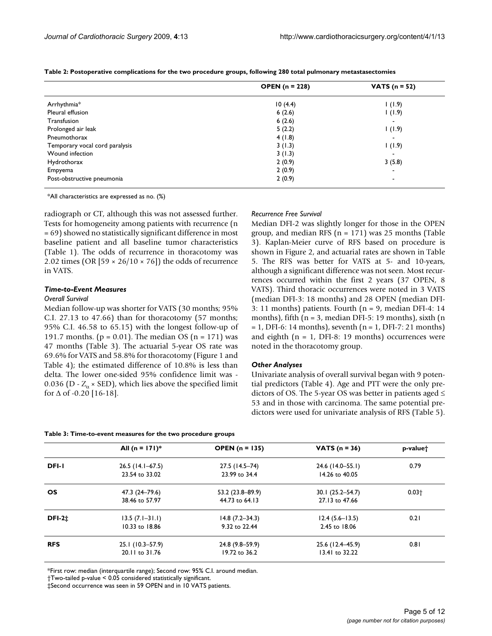|                                | <b>OPEN</b> $(n = 228)$ | VATS $(n = 52)$          |
|--------------------------------|-------------------------|--------------------------|
| Arrhythmia*                    | 10(4.4)                 | 1(1.9)                   |
| Pleural effusion               | 6(2.6)                  | 1(1.9)                   |
| Transfusion                    | 6(2.6)                  | -                        |
| Prolonged air leak             | 5(2.2)                  | 1(1.9)                   |
| Pneumothorax                   | 4(1.8)                  |                          |
| Temporary vocal cord paralysis | 3(1.3)                  | (1.9)                    |
| Wound infection                | 3(1.3)                  |                          |
| Hydrothorax                    | 2(0.9)                  | 3(5.8)                   |
| Empyema                        | 2(0.9)                  | -                        |
| Post-obstructive pneumonia     | 2(0.9)                  | $\overline{\phantom{a}}$ |

**Table 2: Postoperative complications for the two procedure groups, following 280 total pulmonary metastasectomies**

\*All characteristics are expressed as no. (%)

radiograph or CT, although this was not assessed further. Tests for homogeneity among patients with recurrence (n = 69) showed no statistically significant difference in most baseline patient and all baseline tumor characteristics (Table 1). The odds of recurrence in thoracotomy was 2.02 times (OR [59  $\times$  26/10  $\times$  76]) the odds of recurrence in VATS.

#### *Time-to-Event Measures*

#### *Overall Survival*

Median follow-up was shorter for VATS (30 months; 95% C.I. 27.13 to 47.66) than for thoracotomy (57 months; 95% C.I. 46.58 to 65.15) with the longest follow-up of 191.7 months. ( $p = 0.01$ ). The median OS ( $n = 171$ ) was 47 months (Table 3). The actuarial 5-year OS rate was 69.6% for VATS and 58.8% for thoracotomy (Figure 1 and Table 4); the estimated difference of 10.8% is less than delta. The lower one-sided 95% confidence limit was - 0.036 (D -  $Z_{\alpha}$  × SED), which lies above the specified limit for Δ of -0.20 [16-18].

#### *Recurrence Free Survival*

Median DFI-2 was slightly longer for those in the OPEN group, and median RFS  $(n = 171)$  was 25 months (Table 3). Kaplan-Meier curve of RFS based on procedure is shown in Figure 2, and actuarial rates are shown in Table 5. The RFS was better for VATS at 5- and 10-years, although a significant difference was not seen. Most recurrences occurred within the first 2 years (37 OPEN, 8 VATS). Third thoracic occurrences were noted in 3 VATS (median DFI-3: 18 months) and 28 OPEN (median DFI-3: 11 months) patients. Fourth  $(n = 9, \text{ median DFI-4: 14})$ months), fifth ( $n = 3$ , median DFI-5: 19 months), sixth ( $n = 1$  $= 1$ , DFI-6: 14 months), seventh (n = 1, DFI-7: 21 months) and eighth  $(n = 1, DFI-8: 19$  months) occurrences were noted in the thoracotomy group.

#### *Other Analyses*

Univariate analysis of overall survival began with 9 potential predictors (Table 4). Age and PTT were the only predictors of OS. The 5-year OS was better in patients aged  $\leq$ 53 and in those with carcinoma. The same potential predictors were used for univariate analysis of RFS (Table 5).

|              | All $(n = 171)^*$   | <b>OPEN</b> $(n = 135)$ | VATS $(n = 36)$     | p-value <sup>+</sup> |
|--------------|---------------------|-------------------------|---------------------|----------------------|
| <b>DFI-I</b> | $26.5$ (14.1–67.5)  | 27.5 (14.5–74)          | 24.6 (14.0-55.1)    | 0.79                 |
|              | 23.54 to 33.02      | 23.99 to 34.4           | 14.26 to 40.05      |                      |
| <b>OS</b>    | 47.3 (24–79.6)      | 53.2 (23.8-89.9)        | $30.1(25.2 - 54.7)$ | $0.03+$              |
|              | 38.46 to 57.97      | 44.73 to 64.13          | 27.13 to 47.66      |                      |
| $DFI-21$     | $13.5(7.1-31.1)$    | $14.8(7.2 - 34.3)$      | $12.4(5.6-13.5)$    | 0.21                 |
|              | 10.33 to 18.86      | 9.32 to 22.44           | 2.45 to 18.06       |                      |
| <b>RFS</b>   | $25.1(10.3 - 57.9)$ | 24.8 (9.8–59.9)         | 25.6 (12.4–45.9)    | 0.81                 |
|              | 20.11 to 31.76      | 19.72 to 36.2           | 13.41 to 32.22      |                      |

| Table 3: Time-to-event measures for the two procedure groups |
|--------------------------------------------------------------|
|--------------------------------------------------------------|

\*First row: median (interquartile range); Second row: 95% C.I. around median.

†Two-tailed p-value < 0.05 considered statistically significant.

‡Second occurrence was seen in 59 OPEN and in 10 VATS patients.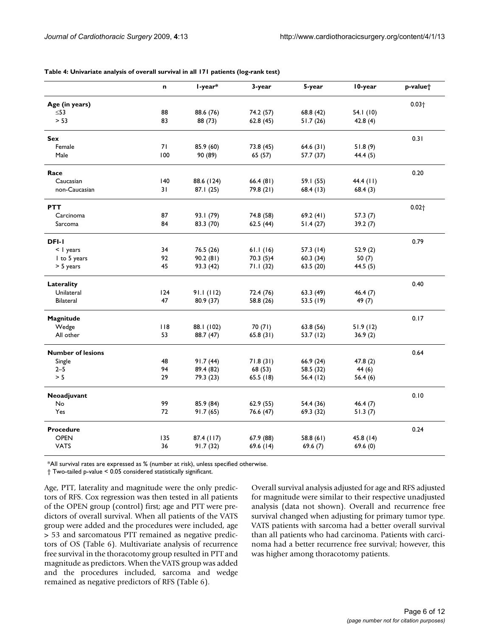|                          | n   | I-year*    | 3-year    | 5-year      | 10-year     | p-value <sup>+</sup> |
|--------------------------|-----|------------|-----------|-------------|-------------|----------------------|
| Age (in years)           |     |            |           |             |             | $0.03 +$             |
| $\leq$ 53                | 88  | 88.6 (76)  | 74.2 (57) | 68.8 (42)   | 54.1 (10)   |                      |
| > 53                     | 83  | 88 (73)    | 62.8(45)  | 51.7 (26)   | 42.8(4)     |                      |
| <b>Sex</b>               |     |            |           |             |             | 0.31                 |
| Female                   | 71  | 85.9 (60)  | 73.8 (45) | 64.6(31)    | 51.8(9)     |                      |
| Male                     | 100 | 90 (89)    | 65 (57)   | 57.7 (37)   | 44.4(5)     |                      |
| Race                     |     |            |           |             |             | 0.20                 |
| Caucasian                | 140 | 88.6 (124) | 66.4(81)  | 59.1 (55)   | 44.4 $(11)$ |                      |
| non-Caucasian            | 31  | 87.1 (25)  | 79.8 (21) | 68.4(13)    | 68.4(3)     |                      |
| <b>PTT</b>               |     |            |           |             |             | $0.02 +$             |
| Carcinoma                | 87  | 93.I (79)  | 74.8 (58) | 69.2(41)    | 57.3 (7)    |                      |
| Sarcoma                  | 84  | 83.3 (70)  | 62.5(44)  | 51.4(27)    | 39.2(7)     |                      |
| <b>DFI-I</b>             |     |            |           |             |             | 0.79                 |
| $<$   years              | 34  | 76.5 (26)  | 61.1(16)  | 57.3 (14)   | 52.9(2)     |                      |
| I to 5 years             | 92  | 90.2 (81)  | 70.3 (5)4 | 60.3(34)    | 50(7)       |                      |
| > 5 years                | 45  | 93.3 (42)  | 71.1(32)  | 63.5 (20)   | 44.5 (5)    |                      |
| Laterality               |     |            |           |             |             | 0.40                 |
| Unilateral               | 124 | 91.1(112)  | 72.4 (76) | 63.3(49)    | 46.4(7)     |                      |
| <b>Bilateral</b>         | 47  | 80.9 (37)  | 58.8 (26) | 53.5 (19)   | 49(7)       |                      |
| Magnitude                |     |            |           |             |             | 0.17                 |
| Wedge                    | 118 | 88.1 (102) | 70 (71)   | 63.8 (56)   | 51.9(12)    |                      |
| All other                | 53  | 88.7 (47)  | 65.8(31)  | 53.7 (12)   | 36.9(2)     |                      |
| <b>Number of lesions</b> |     |            |           |             |             | 0.64                 |
| Single                   | 48  | 91.7(44)   | 71.8(31)  | 66.9(24)    | 47.8(2)     |                      |
| $2 - 5$                  | 94  | 89.4 (82)  | 68 (53)   | 58.5 (32)   | 44 (6)      |                      |
| > 5                      | 29  | 79.3 (23)  | 65.5(18)  | 56.4 $(12)$ | 56.4(6)     |                      |
| Neoadjuvant              |     |            |           |             |             | 0.10                 |
| No                       | 99  | 85.9 (84)  | 62.9(55)  | 54.4 (36)   | 46.4(7)     |                      |
| Yes                      | 72  | 91.7 (65)  | 76.6 (47) | 69.3 (32)   | 51.3(7)     |                      |
| Procedure                |     |            |           |             |             | 0.24                 |
| <b>OPEN</b>              | 135 | 87.4(117)  | 67.9 (88) | 58.8 (61)   | 45.8 (14)   |                      |
| <b>VATS</b>              | 36  | 91.7 (32)  | 69.6(14)  | 69.6(7)     | 69.6(0)     |                      |

**Table 4: Univariate analysis of overall survival in all 171 patients (log-rank test)**

\*All survival rates are expressed as % (number at risk), unless specified otherwise.

† Two-tailed p-value < 0.05 considered statistically significant.

Age, PTT, laterality and magnitude were the only predictors of RFS. Cox regression was then tested in all patients of the OPEN group (control) first; age and PTT were predictors of overall survival. When all patients of the VATS group were added and the procedures were included, age > 53 and sarcomatous PTT remained as negative predictors of OS (Table 6). Multivariate analysis of recurrence free survival in the thoracotomy group resulted in PTT and magnitude as predictors. When the VATS group was added and the procedures included, sarcoma and wedge remained as negative predictors of RFS (Table 6).

Overall survival analysis adjusted for age and RFS adjusted for magnitude were similar to their respective unadjusted analysis (data not shown). Overall and recurrence free survival changed when adjusting for primary tumor type. VATS patients with sarcoma had a better overall survival than all patients who had carcinoma. Patients with carcinoma had a better recurrence free survival; however, this was higher among thoracotomy patients.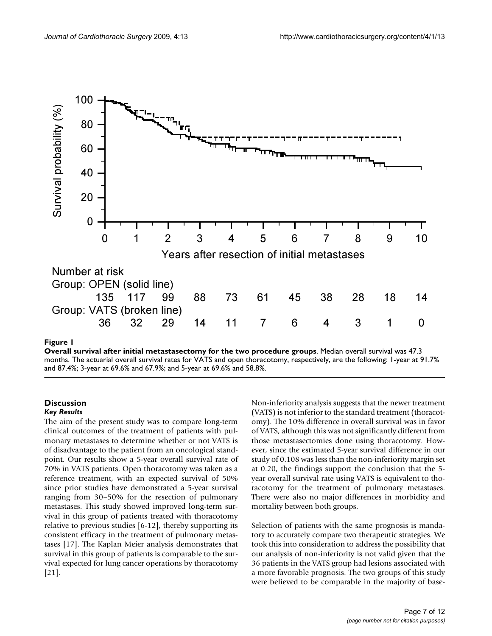

**Overall survival after initial metastasectomy for the two procedure groups**. Median overall survival was 47.3 months. The actuarial overall survival rates for VATS and open thoracotomy, respectively, are the following: 1-year at 91.7% and 87.4%; 3-year at 69.6% and 67.9%; and 5-year at 69.6% and 58.8%.

# **Discussion**

#### *Key Results*

The aim of the present study was to compare long-term clinical outcomes of the treatment of patients with pulmonary metastases to determine whether or not VATS is of disadvantage to the patient from an oncological standpoint. Our results show a 5-year overall survival rate of 70% in VATS patients. Open thoracotomy was taken as a reference treatment, with an expected survival of 50% since prior studies have demonstrated a 5-year survival ranging from 30–50% for the resection of pulmonary metastases. This study showed improved long-term survival in this group of patients treated with thoracotomy relative to previous studies [6-12], thereby supporting its consistent efficacy in the treatment of pulmonary metastases [17]. The Kaplan Meier analysis demonstrates that survival in this group of patients is comparable to the survival expected for lung cancer operations by thoracotomy [21].

Non-inferiority analysis suggests that the newer treatment (VATS) is not inferior to the standard treatment (thoracotomy). The 10% difference in overall survival was in favor of VATS, although this was not significantly different from those metastasectomies done using thoracotomy. However, since the estimated 5-year survival difference in our study of 0.108 was less than the non-inferiority margin set at 0.20, the findings support the conclusion that the 5 year overall survival rate using VATS is equivalent to thoracotomy for the treatment of pulmonary metastases. There were also no major differences in morbidity and mortality between both groups.

Selection of patients with the same prognosis is mandatory to accurately compare two therapeutic strategies. We took this into consideration to address the possibility that our analysis of non-inferiority is not valid given that the 36 patients in the VATS group had lesions associated with a more favorable prognosis. The two groups of this study were believed to be comparable in the majority of base-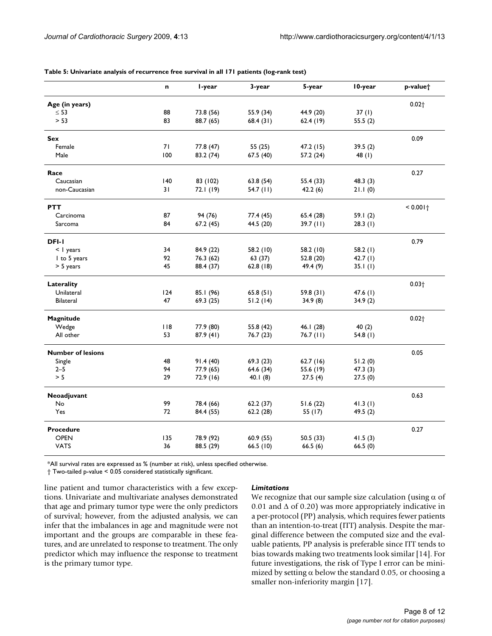|                          | n   | I-year    | 3-year      | 5-year      | 10-year    | p-valuet    |
|--------------------------|-----|-----------|-------------|-------------|------------|-------------|
| Age (in years)           |     |           |             |             |            | $0.02 +$    |
| $\leq$ 53                | 88  | 73.8 (56) | 55.9 (34)   | 44.9 (20)   | 37(1)      |             |
| > 53                     | 83  | 88.7 (65) | 68.4(31)    | 62.4(19)    | 55.5(2)    |             |
| Sex                      |     |           |             |             |            | 0.09        |
| Female                   | 71  | 77.8 (47) | 55 (25)     | 47.2 (15)   | 39.5(2)    |             |
| Male                     | 100 | 83.2 (74) | 67.5 (40)   | 57.2(24)    | 48(1)      |             |
| Race                     |     |           |             |             |            | 0.27        |
| Caucasian                | 140 | 83 (102)  | 63.8(54)    | 55.4 (33)   | 48.3(3)    |             |
| non-Caucasian            | 31  | 72.1 (19) | $54.7$ (11) | 42.2(6)     | 21.1(0)    |             |
| <b>PTT</b>               |     |           |             |             |            | $< 0.001 +$ |
| Carcinoma                | 87  | 94 (76)   | 77.4 (45)   | 65.4 (28)   | 59.I (2)   |             |
| Sarcoma                  | 84  | 67.2(45)  | 44.5 (20)   | 39.7 $(11)$ | 28.3(1)    |             |
| <b>DFI-I</b>             |     |           |             |             |            | 0.79        |
| $<$   years              | 34  | 84.9 (22) | 58.2 (10)   | 58.2 (10)   | 58.2 (1)   |             |
| I to 5 years             | 92  | 76.3 (62) | 63 (37)     | 52.8 (20)   | 42.7(1)    |             |
| $> 5$ years              | 45  | 88.4 (37) | 62.8(18)    | 49.4 (9)    | 35.1(1)    |             |
| Laterality               |     |           |             |             |            | $0.03 +$    |
| Unilateral               | 124 | 85.1 (96) | 65.8(51)    | 59.8(31)    | $47.6$ (1) |             |
| <b>Bilateral</b>         | 47  | 69.3(25)  | 51.2(14)    | 34.9(8)     | 34.9(2)    |             |
| Magnitude                |     |           |             |             |            | $0.02 +$    |
| Wedge                    | 118 | 77.9 (80) | 55.8 (42)   | 46.1 (28)   | 40(2)      |             |
| All other                | 53  | 87.9 (41) | 76.7 (23)   | $76.7$ (11) | 54.8(1)    |             |
| <b>Number of lesions</b> |     |           |             |             |            | 0.05        |
| Single                   | 48  | 91.4 (40) | 69.3 (23)   | 62.7(16)    | 51.2(0)    |             |
| $2 - 5$                  | 94  | 77.9 (65) | 64.6 (34)   | 55.6 (19)   | 47.3(3)    |             |
| > 5                      | 29  | 72.9 (16) | 40.1(8)     | 27.5(4)     | 27.5(0)    |             |
| Neoadjuvant              |     |           |             |             |            | 0.63        |
| No                       | 99  | 78.4 (66) | 62.2(37)    | 51.6(22)    | 41.3(1)    |             |
| Yes                      | 72  | 84.4 (55) | 62.2(28)    | 55 (17)     | 49.5(2)    |             |
| <b>Procedure</b>         |     |           |             |             |            | 0.27        |
| <b>OPEN</b>              | 135 | 78.9 (92) | 60.9 (55)   | 50.5(33)    | 41.5(3)    |             |
| <b>VATS</b>              | 36  | 88.5 (29) | 66.5(10)    | 66.5(6)     | 66.5(0)    |             |

**Table 5: Univariate analysis of recurrence free survival in all 171 patients (log-rank test)**

\*All survival rates are expressed as % (number at risk), unless specified otherwise.

† Two-tailed p-value < 0.05 considered statistically significant.

line patient and tumor characteristics with a few exceptions. Univariate and multivariate analyses demonstrated that age and primary tumor type were the only predictors of survival; however, from the adjusted analysis, we can infer that the imbalances in age and magnitude were not important and the groups are comparable in these features, and are unrelated to response to treatment. The only predictor which may influence the response to treatment is the primary tumor type.

#### *Limitations*

We recognize that our sample size calculation (using  $\alpha$  of 0.01 and  $\Delta$  of 0.20) was more appropriately indicative in a per-protocol (PP) analysis, which requires fewer patients than an intention-to-treat (ITT) analysis. Despite the marginal difference between the computed size and the evaluable patients, PP analysis is preferable since ITT tends to bias towards making two treatments look similar [14]. For future investigations, the risk of Type I error can be minimized by setting  $\alpha$  below the standard 0.05, or choosing a smaller non-inferiority margin [17].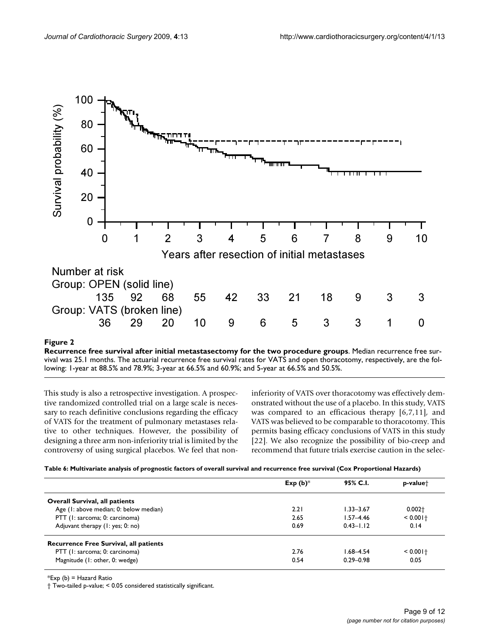

**Recurrence free survival after initial metastasectomy for the two procedure groups**. Median recurrence free survival was 25.1 months. The actuarial recurrence free survival rates for VATS and open thoracotomy, respectively, are the following: 1-year at 88.5% and 78.9%; 3-year at 66.5% and 60.9%; and 5-year at 66.5% and 50.5%.

This study is also a retrospective investigation. A prospective randomized controlled trial on a large scale is necessary to reach definitive conclusions regarding the efficacy of VATS for the treatment of pulmonary metastases relative to other techniques. However, the possibility of designing a three arm non-inferiority trial is limited by the controversy of using surgical placebos. We feel that noninferiority of VATS over thoracotomy was effectively demonstrated without the use of a placebo. In this study, VATS was compared to an efficacious therapy [6,7,11], and VATS was believed to be comparable to thoracotomy. This permits basing efficacy conclusions of VATS in this study [22]. We also recognize the possibility of bio-creep and recommend that future trials exercise caution in the selec-

|                                               | $Exp(b)^*$ | 95% C.I.      | p-value <sup>+</sup> |
|-----------------------------------------------|------------|---------------|----------------------|
| <b>Overall Survival, all patients</b>         |            |               |                      |
| Age (1: above median; 0: below median)        | 2.21       | $1.33 - 3.67$ | $0.002 +$            |
| PTT (1: sarcoma; 0: carcinoma)                | 2.65       | $1.57 - 4.46$ | $< 0.001 +$          |
| Adjuvant therapy (1: yes; 0: no)              | 0.69       | $0.43 - 1.12$ | 0.14                 |
| <b>Recurrence Free Survival, all patients</b> |            |               |                      |
| PTT (1: sarcoma; 0: carcinoma)                | 2.76       | $1.68 - 4.54$ | $< 0.001 +$          |
| Magnitude (I: other, 0: wedge)                | 0.54       | $0.29 - 0.98$ | 0.05                 |

\*Exp (b) = Hazard Ratio

† Two-tailed p-value; < 0.05 considered statistically significant.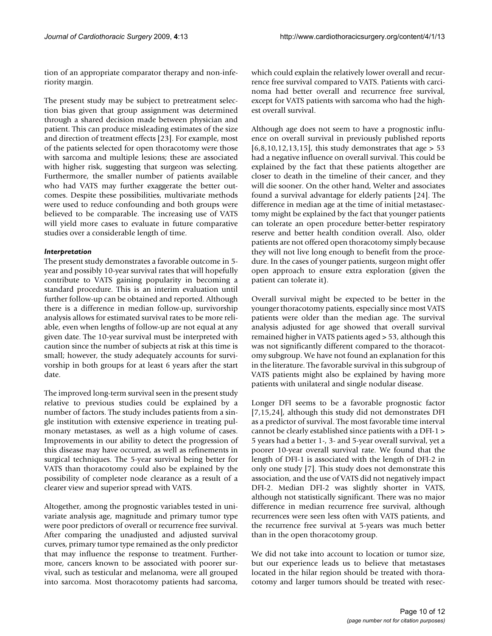tion of an appropriate comparator therapy and non-inferiority margin.

The present study may be subject to pretreatment selection bias given that group assignment was determined through a shared decision made between physician and patient. This can produce misleading estimates of the size and direction of treatment effects [23]. For example, most of the patients selected for open thoracotomy were those with sarcoma and multiple lesions; these are associated with higher risk, suggesting that surgeon was selecting. Furthermore, the smaller number of patients available who had VATS may further exaggerate the better outcomes. Despite these possibilities, multivariate methods were used to reduce confounding and both groups were believed to be comparable. The increasing use of VATS will yield more cases to evaluate in future comparative studies over a considerable length of time.

# *Interpretation*

The present study demonstrates a favorable outcome in 5 year and possibly 10-year survival rates that will hopefully contribute to VATS gaining popularity in becoming a standard procedure. This is an interim evaluation until further follow-up can be obtained and reported. Although there is a difference in median follow-up, survivorship analysis allows for estimated survival rates to be more reliable, even when lengths of follow-up are not equal at any given date. The 10-year survival must be interpreted with caution since the number of subjects at risk at this time is small; however, the study adequately accounts for survivorship in both groups for at least 6 years after the start date.

The improved long-term survival seen in the present study relative to previous studies could be explained by a number of factors. The study includes patients from a single institution with extensive experience in treating pulmonary metastases, as well as a high volume of cases. Improvements in our ability to detect the progression of this disease may have occurred, as well as refinements in surgical techniques. The 5-year survival being better for VATS than thoracotomy could also be explained by the possibility of completer node clearance as a result of a clearer view and superior spread with VATS.

Altogether, among the prognostic variables tested in univariate analysis age, magnitude and primary tumor type were poor predictors of overall or recurrence free survival. After comparing the unadjusted and adjusted survival curves, primary tumor type remained as the only predictor that may influence the response to treatment. Furthermore, cancers known to be associated with poorer survival, such as testicular and melanoma, were all grouped into sarcoma. Most thoracotomy patients had sarcoma,

which could explain the relatively lower overall and recurrence free survival compared to VATS. Patients with carcinoma had better overall and recurrence free survival, except for VATS patients with sarcoma who had the highest overall survival.

Although age does not seem to have a prognostic influence on overall survival in previously published reports  $[6,8,10,12,13,15]$ , this study demonstrates that age  $> 53$ had a negative influence on overall survival. This could be explained by the fact that these patients altogether are closer to death in the timeline of their cancer, and they will die sooner. On the other hand, Welter and associates found a survival advantage for elderly patients [24]. The difference in median age at the time of initial metastasectomy might be explained by the fact that younger patients can tolerate an open procedure better-better respiratory reserve and better health condition overall. Also, older patients are not offered open thoracotomy simply because they will not live long enough to benefit from the procedure. In the cases of younger patients, surgeon might offer open approach to ensure extra exploration (given the patient can tolerate it).

Overall survival might be expected to be better in the younger thoracotomy patients, especially since most VATS patients were older than the median age. The survival analysis adjusted for age showed that overall survival remained higher in VATS patients aged > 53, although this was not significantly different compared to the thoracotomy subgroup. We have not found an explanation for this in the literature. The favorable survival in this subgroup of VATS patients might also be explained by having more patients with unilateral and single nodular disease.

Longer DFI seems to be a favorable prognostic factor [7,15,24], although this study did not demonstrates DFI as a predictor of survival. The most favorable time interval cannot be clearly established since patients with a DFI-1 > 5 years had a better 1-, 3- and 5-year overall survival, yet a poorer 10-year overall survival rate. We found that the length of DFI-1 is associated with the length of DFI-2 in only one study [7]. This study does not demonstrate this association, and the use of VATS did not negatively impact DFI-2. Median DFI-2 was slightly shorter in VATS, although not statistically significant. There was no major difference in median recurrence free survival, although recurrences were seen less often with VATS patients, and the recurrence free survival at 5-years was much better than in the open thoracotomy group.

We did not take into account to location or tumor size, but our experience leads us to believe that metastases located in the hilar region should be treated with thoracotomy and larger tumors should be treated with resec-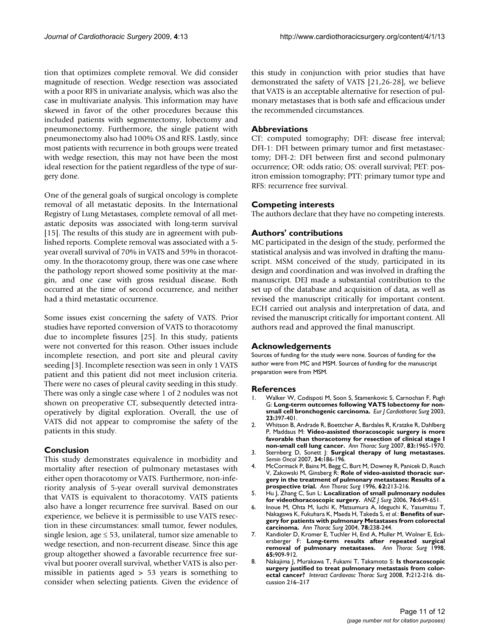tion that optimizes complete removal. We did consider magnitude of resection. Wedge resection was associated with a poor RFS in univariate analysis, which was also the case in multivariate analysis. This information may have skewed in favor of the other procedures because this included patients with segmentectomy, lobectomy and pneumonectomy. Furthermore, the single patient with pneumonectomy also had 100% OS and RFS. Lastly, since most patients with recurrence in both groups were treated with wedge resection, this may not have been the most ideal resection for the patient regardless of the type of surgery done.

One of the general goals of surgical oncology is complete removal of all metastatic deposits. In the International Registry of Lung Metastases, complete removal of all metastatic deposits was associated with long-term survival [15]. The results of this study are in agreement with published reports. Complete removal was associated with a 5 year overall survival of 70% in VATS and 59% in thoracotomy. In the thoracotomy group, there was one case where the pathology report showed some positivity at the margin, and one case with gross residual disease. Both occurred at the time of second occurrence, and neither had a third metastatic occurrence.

Some issues exist concerning the safety of VATS. Prior studies have reported conversion of VATS to thoracotomy due to incomplete fissures [25]. In this study, patients were not converted for this reason. Other issues include incomplete resection, and port site and pleural cavity seeding [3]. Incomplete resection was seen in only 1 VATS patient and this patient did not meet inclusion criteria. There were no cases of pleural cavity seeding in this study. There was only a single case where 1 of 2 nodules was not shown on preoperative CT, subsequently detected intraoperatively by digital exploration. Overall, the use of VATS did not appear to compromise the safety of the patients in this study.

#### **Conclusion**

This study demonstrates equivalence in morbidity and mortality after resection of pulmonary metastases with either open thoracotomy or VATS. Furthermore, non-inferiority analysis of 5-year overall survival demonstrates that VATS is equivalent to thoracotomy. VATS patients also have a longer recurrence free survival. Based on our experience, we believe it is permissible to use VATS resection in these circumstances: small tumor, fewer nodules, single lesion, age  $\leq 53$ , unilateral, tumor size amenable to wedge resection, and non-recurrent disease. Since this age group altogether showed a favorable recurrence free survival but poorer overall survival, whether VATS is also permissible in patients aged > 53 years is something to consider when selecting patients. Given the evidence of this study in conjunction with prior studies that have demonstrated the safety of VATS [21,26-28], we believe that VATS is an acceptable alternative for resection of pulmonary metastases that is both safe and efficacious under the recommended circumstances.

#### **Abbreviations**

CT: computed tomography; DFI: disease free interval; DFI-1: DFI between primary tumor and first metastasectomy; DFI-2: DFI between first and second pulmonary occurrence; OR: odds ratio; OS: overall survival; PET: positron emission tomography; PTT: primary tumor type and RFS: recurrence free survival.

#### **Competing interests**

The authors declare that they have no competing interests.

#### **Authors' contributions**

MC participated in the design of the study, performed the statistical analysis and was involved in drafting the manuscript. MSM conceived of the study, participated in its design and coordination and was involved in drafting the manuscript. DEJ made a substantial contribution to the set up of the database and acquisition of data, as well as revised the manuscript critically for important content. ECH carried out analysis and interpretation of data, and revised the manuscript critically for important content. All authors read and approved the final manuscript.

#### **Acknowledgements**

Sources of funding for the study were none. Sources of funding for the author were from MC and MSM. Sources of funding for the manuscript preparation were from MSM.

#### **References**

- 1. Walker W, Codispoti M, Soon S, Stamenkovic S, Carnochan F, Pugh G: **[Long-term outcomes following VATS lobectomy for non](http://www.ncbi.nlm.nih.gov/entrez/query.fcgi?cmd=Retrieve&db=PubMed&dopt=Abstract&list_uids=12614813)[small cell bronchogenic carcinoma.](http://www.ncbi.nlm.nih.gov/entrez/query.fcgi?cmd=Retrieve&db=PubMed&dopt=Abstract&list_uids=12614813)** *Eur J Cardiothorac Surg* 2003, **23:**397-401.
- 2. Whitson B, Andrade R, Boettcher A, Bardales R, Kratzke R, Dahlberg P, Maddaus M: **[Video-assisted thoracoscopic surgery is more](http://www.ncbi.nlm.nih.gov/entrez/query.fcgi?cmd=Retrieve&db=PubMed&dopt=Abstract&list_uids=17532379) [favorable than thoracotomy for resection of clinical stage I](http://www.ncbi.nlm.nih.gov/entrez/query.fcgi?cmd=Retrieve&db=PubMed&dopt=Abstract&list_uids=17532379) [non-small cell lung cancer.](http://www.ncbi.nlm.nih.gov/entrez/query.fcgi?cmd=Retrieve&db=PubMed&dopt=Abstract&list_uids=17532379)** *Ann Thorac Surg* 2007, **83:**1965-1970.
- 3. Sternberg D, Sonett J: **[Surgical therapy of lung metastases.](http://www.ncbi.nlm.nih.gov/entrez/query.fcgi?cmd=Retrieve&db=PubMed&dopt=Abstract&list_uids=17560980)** *Semin Oncol* 2007, **34:**186-196.
- 4. McCormack P, Bains M, Begg C, Burt M, Downey R, Panicek D, Rusch V, Zakowski M, Ginsberg R: **[Role of video-assisted thoracic sur](http://www.ncbi.nlm.nih.gov/entrez/query.fcgi?cmd=Retrieve&db=PubMed&dopt=Abstract&list_uids=8678645)[gery in the treatment of pulmonary metastases: Results of a](http://www.ncbi.nlm.nih.gov/entrez/query.fcgi?cmd=Retrieve&db=PubMed&dopt=Abstract&list_uids=8678645) [prospective trial.](http://www.ncbi.nlm.nih.gov/entrez/query.fcgi?cmd=Retrieve&db=PubMed&dopt=Abstract&list_uids=8678645)** *Ann Thorac Surg* 1996, **62:**213-216.
- 5. Hu J, Zhang C, Sun L: **[Localization of small pulmonary nodules](http://www.ncbi.nlm.nih.gov/entrez/query.fcgi?cmd=Retrieve&db=PubMed&dopt=Abstract&list_uids=16813634) [for videothoracoscopic surgery.](http://www.ncbi.nlm.nih.gov/entrez/query.fcgi?cmd=Retrieve&db=PubMed&dopt=Abstract&list_uids=16813634)** *ANZ J Surg* 2006, **76:**649-651.
- 6. Inoue M, Ohta M, Iuchi K, Matsumura A, Ideguchi K, Yasumitsu T, Nakagawa K, Fukuhara K, Maeda H, Takeda S, *et al.*: **[Benefits of sur](http://www.ncbi.nlm.nih.gov/entrez/query.fcgi?cmd=Retrieve&db=PubMed&dopt=Abstract&list_uids=15223436)[gery for patients with pulmonary Metastases from colorectal](http://www.ncbi.nlm.nih.gov/entrez/query.fcgi?cmd=Retrieve&db=PubMed&dopt=Abstract&list_uids=15223436) [carcinoma.](http://www.ncbi.nlm.nih.gov/entrez/query.fcgi?cmd=Retrieve&db=PubMed&dopt=Abstract&list_uids=15223436)** *Ann Thorac Surg* 2004, **78:**238-244.
- 7. Kandioler D, Kromer E, Tuchler H, End A, Muller M, Wolner E, Eckersberger F: **[Long-term results after repeated surgical](http://www.ncbi.nlm.nih.gov/entrez/query.fcgi?cmd=Retrieve&db=PubMed&dopt=Abstract&list_uids=9564899) [removal of pulmonary metastases.](http://www.ncbi.nlm.nih.gov/entrez/query.fcgi?cmd=Retrieve&db=PubMed&dopt=Abstract&list_uids=9564899)** *Ann Thorac Surg* 1998, **65:**909-912.
- 8. Nakajima J, Murakawa T, Fukami T, Takamoto S: **[Is thoracoscopic](http://www.ncbi.nlm.nih.gov/entrez/query.fcgi?cmd=Retrieve&db=PubMed&dopt=Abstract&list_uids=18083773) [surgery justified to treat pulmonary metastasis from color](http://www.ncbi.nlm.nih.gov/entrez/query.fcgi?cmd=Retrieve&db=PubMed&dopt=Abstract&list_uids=18083773)[ectal cancer?](http://www.ncbi.nlm.nih.gov/entrez/query.fcgi?cmd=Retrieve&db=PubMed&dopt=Abstract&list_uids=18083773)** *Interact Cardiovasc Thorac Surg* 2008, **7:**212-216. discussion 216–217